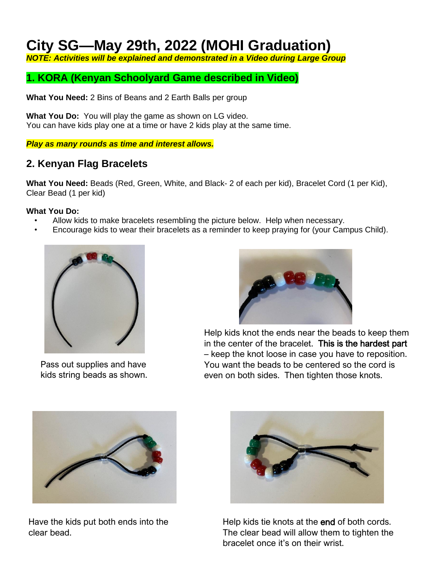## **City SG—May 29th, 2022 (MOHI Graduation)**

*NOTE: Activities will be explained and demonstrated in a Video during Large Group*

## **1. KORA (Kenyan Schoolyard Game described in Video)**

**What You Need:** 2 Bins of Beans and 2 Earth Balls per group

**What You Do:** You will play the game as shown on LG video. You can have kids play one at a time or have 2 kids play at the same time.

*Play as many rounds as time and interest allows.*

### **2. Kenyan Flag Bracelets**

**What You Need:** Beads (Red, Green, White, and Black- 2 of each per kid), Bracelet Cord (1 per Kid), Clear Bead (1 per kid)

#### **What You Do:**

- Allow kids to make bracelets resembling the picture below. Help when necessary.
- Encourage kids to wear their bracelets as a reminder to keep praying for (your Campus Child).



Pass out supplies and have kids string beads as shown.



Help kids knot the ends near the beads to keep them in the center of the bracelet. This is the hardest part – keep the knot loose in case you have to reposition. You want the beads to be centered so the cord is even on both sides. Then tighten those knots.



Have the kids put both ends into the clear bead.



Help kids tie knots at the end of both cords. The clear bead will allow them to tighten the bracelet once it's on their wrist.